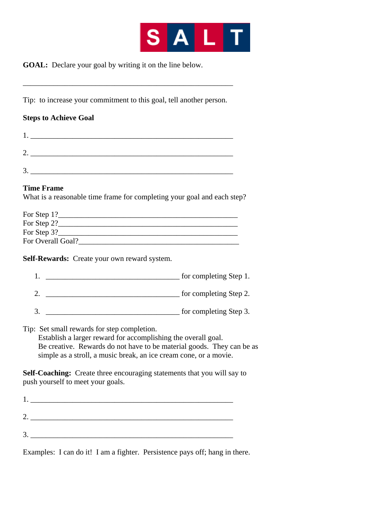

**GOAL:** Declare your goal by writing it on the line below.

Tip: to increase your commitment to this goal, tell another person.

\_\_\_\_\_\_\_\_\_\_\_\_\_\_\_\_\_\_\_\_\_\_\_\_\_\_\_\_\_\_\_\_\_\_\_\_\_\_\_\_\_\_\_\_\_\_\_\_\_\_\_\_\_\_\_

## **Steps to Achieve Goal**

| c |  |  |
|---|--|--|
| 2 |  |  |

## **Time Frame**

What is a reasonable time frame for completing your goal and each step?

| For Step 1?       |  |
|-------------------|--|
| For Step 2?       |  |
| For Step 3?       |  |
| For Overall Goal? |  |

**Self-Rewards:** Create your own reward system.

| for completing Step 1. |
|------------------------|
| for completing Step 2. |

3. \_\_\_\_\_\_\_\_\_\_\_\_\_\_\_\_\_\_\_\_\_\_\_\_\_\_\_\_\_\_\_\_\_\_\_ for completing Step 3.

Tip: Set small rewards for step completion.

 Establish a larger reward for accomplishing the overall goal. Be creative. Rewards do not have to be material goods. They can be as simple as a stroll, a music break, an ice cream cone, or a movie.

**Self-Coaching:** Create three encouraging statements that you will say to push yourself to meet your goals.

Examples: I can do it! I am a fighter. Persistence pays off; hang in there.